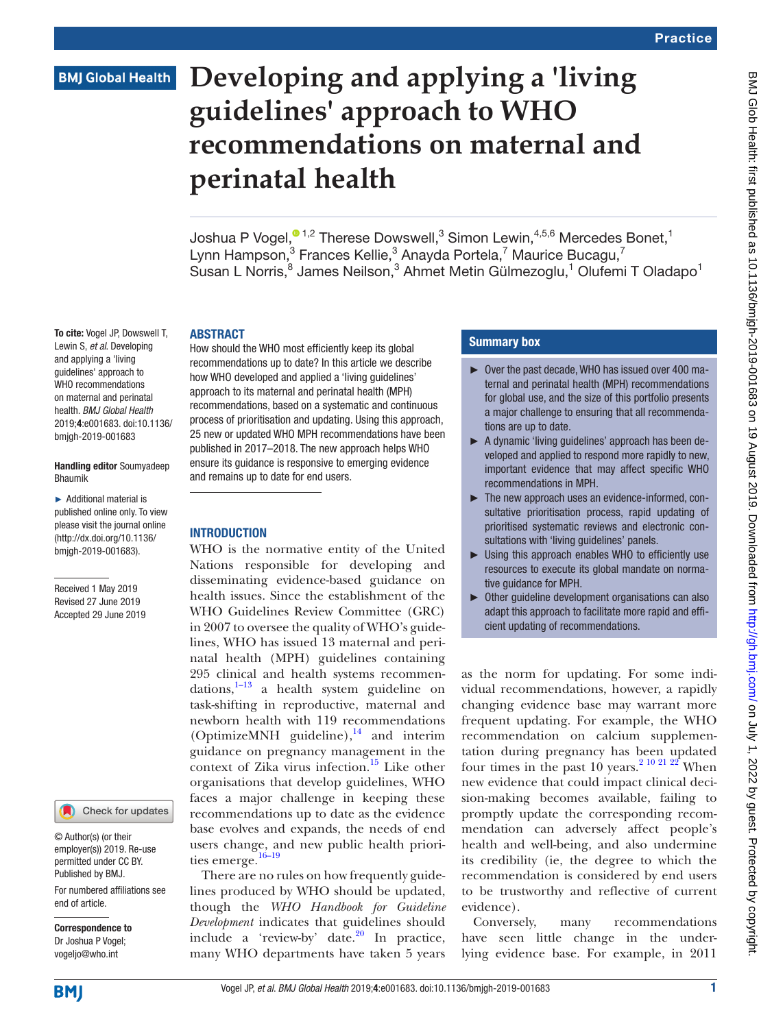## **BMJ Global Health**

To cite: Vogel JP, Dowswell T, Lewin S, *et al*. Developing and applying a 'living guidelines' approach to WHO recommendations on maternal and perinatal health. *BMJ Global Health* 2019;4:e001683. doi:10.1136/ bmjgh-2019-001683

Handling editor Soumyadeep

► Additional material is published online only. To view please visit the journal online ([http://dx.doi.org/10.1136/](http://dx.doi.org/10.1136bmjgh-2019-001683) [bmjgh-2019-001683\)](http://dx.doi.org/10.1136bmjgh-2019-001683).

Received 1 May 2019 Revised 27 June 2019 Accepted 29 June 2019

Bhaumik

# **Developing and applying a 'living guidelines' approach to WHO recommendations on maternal and perinatal health**

Joshua P Vogel, $^{\textcircled{\texttt{1}},2}$  Therese Dowswell, $^3$  Simon Lewin, $^{4,5,6}$  Mercedes Bonet, $^1$ Lynn Hampson,<sup>3</sup> Frances Kellie,<sup>3</sup> Anayda Portela,<sup>7</sup> Maurice Bucagu,<sup>7</sup> Susan L Norris,<sup>8</sup> James Neilson,<sup>3</sup> Ahmet Metin Gülmezoglu,<sup>1</sup> Olufemi T Oladapo<sup>1</sup>

#### **ABSTRACT**

How should the WHO most efficiently keep its global recommendations up to date? In this article we describe how WHO developed and applied a 'living guidelines' approach to its maternal and perinatal health (MPH) recommendations, based on a systematic and continuous process of prioritisation and updating. Using this approach, 25 new or updated WHO MPH recommendations have been published in 2017–2018. The new approach helps WHO ensure its guidance is responsive to emerging evidence and remains up to date for end users.

## **INTRODUCTION**

WHO is the normative entity of the United Nations responsible for developing and disseminating evidence-based guidance on health issues. Since the establishment of the WHO Guidelines Review Committee (GRC) in 2007 to oversee the quality of WHO's guidelines, WHO has issued 13 maternal and perinatal health (MPH) guidelines containing 295 clinical and health systems recommendations, $1-13$  a health system guideline on task-shifting in reproductive, maternal and newborn health with 119 recommendations (OptimizeMNH guideline), $^{14}$  $^{14}$  $^{14}$  and interim guidance on pregnancy management in the context of Zika virus infection.<sup>[15](#page-8-2)</sup> Like other organisations that develop guidelines, WHO faces a major challenge in keeping these recommendations up to date as the evidence base evolves and expands, the needs of end users change, and new public health priorities emerge.<sup>16-19</sup>

There are no rules on how frequently guidelines produced by WHO should be updated, though the *WHO Handbook for Guideline Development* indicates that guidelines should include a 'review-by' date. $20$  In practice, many WHO departments have taken 5 years

## Summary box

- ► Over the past decade, WHO has issued over 400 maternal and perinatal health (MPH) recommendations for global use, and the size of this portfolio presents a major challenge to ensuring that all recommendations are up to date.
- ► A dynamic 'living quidelines' approach has been developed and applied to respond more rapidly to new, important evidence that may affect specific WHO recommendations in MPH.
- ► The new approach uses an evidence-informed, consultative prioritisation process, rapid updating of prioritised systematic reviews and electronic consultations with 'living guidelines' panels.
- ► Using this approach enables WHO to efficiently use resources to execute its global mandate on normative guidance for MPH.
- ► Other guideline development organisations can also adapt this approach to facilitate more rapid and efficient updating of recommendations.

as the norm for updating. For some individual recommendations, however, a rapidly changing evidence base may warrant more frequent updating. For example, the WHO recommendation on calcium supplementation during pregnancy has been updated four times in the past  $10$  years.<sup>2</sup> 10 <sup>21</sup> 2<sup>2</sup> When new evidence that could impact clinical decision-making becomes available, failing to promptly update the corresponding recommendation can adversely affect people's health and well-being, and also undermine its credibility (ie, the degree to which the recommendation is considered by end users to be trustworthy and reflective of current evidence).

Conversely, many recommendations have seen little change in the underlying evidence base. For example, in 2011



© Author(s) (or their employer(s)) 2019. Re-use permitted under CC BY. Published by BMJ.

For numbered affiliations see end of article.

Correspondence to Dr Joshua P Vogel; vogeljo@who.int

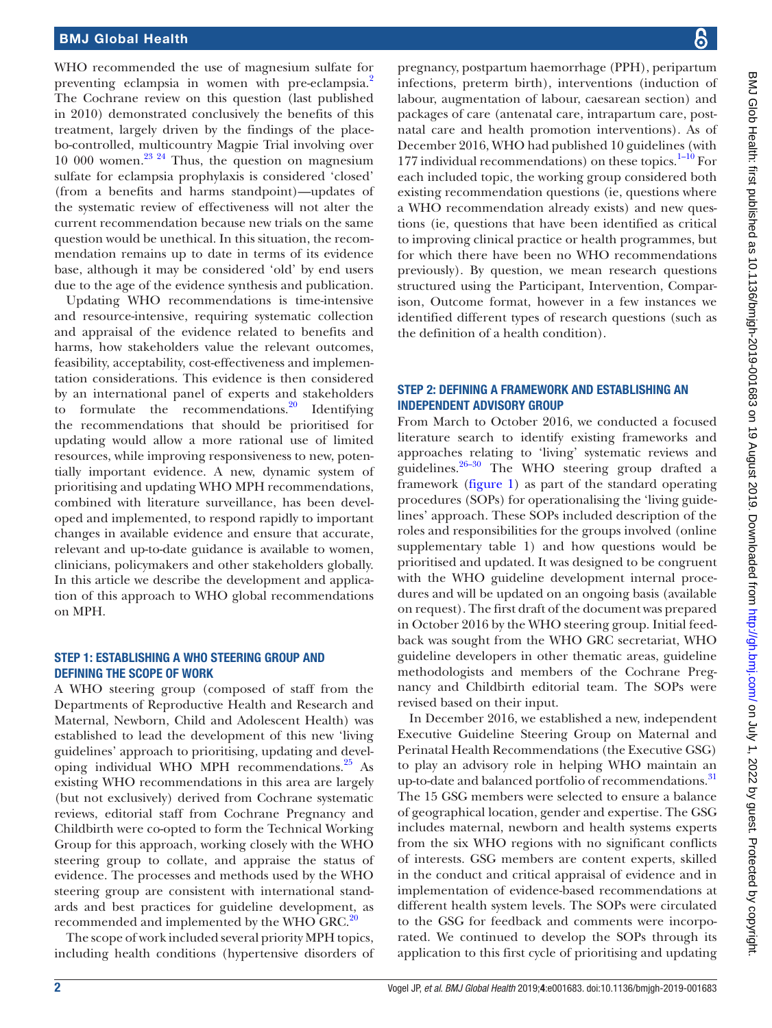WHO recommended the use of magnesium sulfate for preventing eclampsia in women with pre-eclampsia.<sup>[2](#page-8-5)</sup> The Cochrane review on this question (last published in 2010) demonstrated conclusively the benefits of this treatment, largely driven by the findings of the placebo-controlled, multicountry Magpie Trial involving over 10 000 women[.23 24](#page-8-6) Thus, the question on magnesium sulfate for eclampsia prophylaxis is considered 'closed' (from a benefits and harms standpoint)—updates of the systematic review of effectiveness will not alter the current recommendation because new trials on the same question would be unethical. In this situation, the recommendation remains up to date in terms of its evidence base, although it may be considered 'old' by end users due to the age of the evidence synthesis and publication.

Updating WHO recommendations is time-intensive and resource-intensive, requiring systematic collection and appraisal of the evidence related to benefits and harms, how stakeholders value the relevant outcomes, feasibility, acceptability, cost-effectiveness and implementation considerations. This evidence is then considered by an international panel of experts and stakeholders to formulate the recommendations. $^{20}$  Identifying the recommendations that should be prioritised for updating would allow a more rational use of limited resources, while improving responsiveness to new, potentially important evidence. A new, dynamic system of prioritising and updating WHO MPH recommendations, combined with literature surveillance, has been developed and implemented, to respond rapidly to important changes in available evidence and ensure that accurate, relevant and up-to-date guidance is available to women, clinicians, policymakers and other stakeholders globally. In this article we describe the development and application of this approach to WHO global recommendations on MPH.

#### Step 1: Establishing a WHO steering group and defining the scope of work

A WHO steering group (composed of staff from the Departments of Reproductive Health and Research and Maternal, Newborn, Child and Adolescent Health) was established to lead the development of this new 'living guidelines' approach to prioritising, updating and developing individual WHO MPH recommendations.<sup>25</sup> As existing WHO recommendations in this area are largely (but not exclusively) derived from Cochrane systematic reviews, editorial staff from Cochrane Pregnancy and Childbirth were co-opted to form the Technical Working Group for this approach, working closely with the WHO steering group to collate, and appraise the status of evidence. The processes and methods used by the WHO steering group are consistent with international standards and best practices for guideline development, as recommended and implemented by the WHO GRC.<sup>[20](#page-8-4)</sup>

The scope of work included several priority MPH topics, including health conditions (hypertensive disorders of

pregnancy, postpartum haemorrhage (PPH), peripartum infections, preterm birth), interventions (induction of labour, augmentation of labour, caesarean section) and packages of care (antenatal care, intrapartum care, postnatal care and health promotion interventions). As of December 2016, WHO had published 10 guidelines (with 177 individual recommendations) on these topics. $1-10$  For each included topic, the working group considered both existing recommendation questions (ie, questions where a WHO recommendation already exists) and new questions (ie, questions that have been identified as critical to improving clinical practice or health programmes, but for which there have been no WHO recommendations previously). By question, we mean research questions structured using the Participant, Intervention, Comparison, Outcome format, however in a few instances we identified different types of research questions (such as the definition of a health condition).

#### Step 2: Defining a framework and establishing an independent advisory group

From March to October 2016, we conducted a focused literature search to identify existing frameworks and approaches relating to 'living' systematic reviews and guidelines. $26-30$  The WHO steering group drafted a framework ([figure](#page-2-0) 1) as part of the standard operating procedures (SOPs) for operationalising the 'living guidelines' approach. These SOPs included description of the roles and responsibilities for the groups involved [\(online](https://dx.doi.org/10.1136/bmjgh-2019-001683) [supplementary table 1](https://dx.doi.org/10.1136/bmjgh-2019-001683)) and how questions would be prioritised and updated. It was designed to be congruent with the WHO guideline development internal procedures and will be updated on an ongoing basis (available on request). The first draft of the document was prepared in October 2016 by the WHO steering group. Initial feedback was sought from the WHO GRC secretariat, WHO guideline developers in other thematic areas, guideline methodologists and members of the Cochrane Pregnancy and Childbirth editorial team. The SOPs were revised based on their input.

In December 2016, we established a new, independent Executive Guideline Steering Group on Maternal and Perinatal Health Recommendations (the Executive GSG) to play an advisory role in helping WHO maintain an up-to-date and balanced portfolio of recommendations.<sup>31</sup> The 15 GSG members were selected to ensure a balance of geographical location, gender and expertise. The GSG includes maternal, newborn and health systems experts from the six WHO regions with no significant conflicts of interests. GSG members are content experts, skilled in the conduct and critical appraisal of evidence and in implementation of evidence-based recommendations at different health system levels. The SOPs were circulated to the GSG for feedback and comments were incorporated. We continued to develop the SOPs through its application to this first cycle of prioritising and updating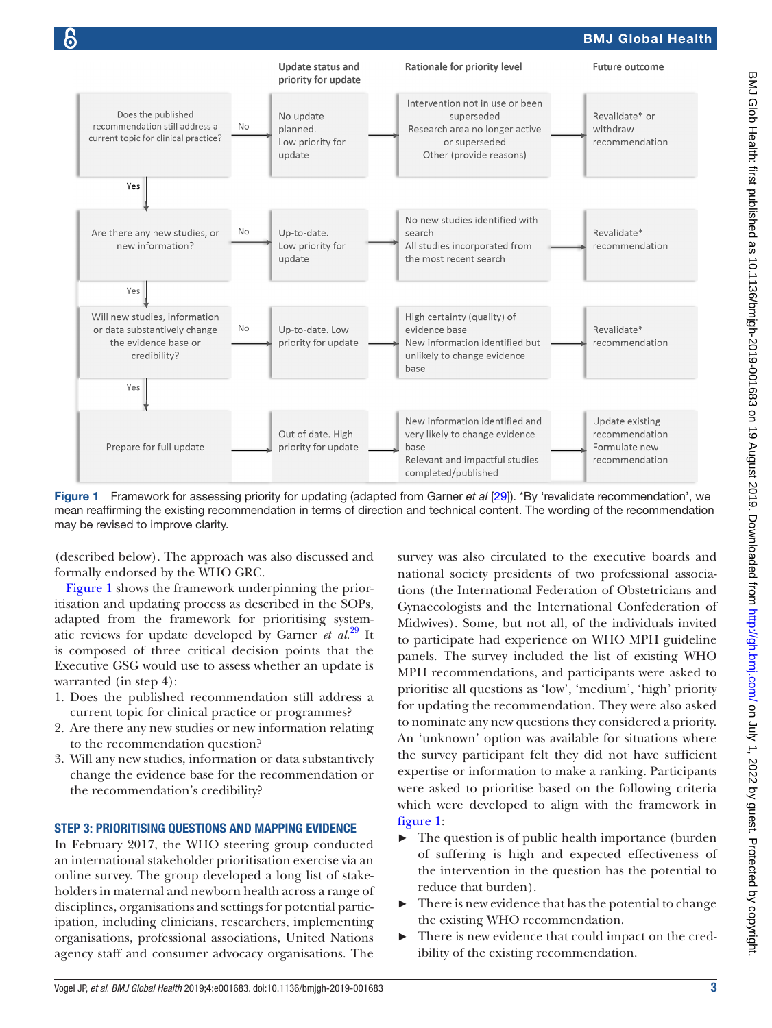

<span id="page-2-0"></span>Figure 1 Framework for assessing priority for updating (adapted from Garner *et al* [\[29](#page-8-10)]). \*By 'revalidate recommendation', we mean reaffirming the existing recommendation in terms of direction and technical content. The wording of the recommendation may be revised to improve clarity.

(described below). The approach was also discussed and formally endorsed by the WHO GRC.

[Figure](#page-2-0) 1 shows the framework underpinning the prioritisation and updating process as described in the SOPs, adapted from the framework for prioritising systematic reviews for update developed by Garner *et al*. [29](#page-8-10) It is composed of three critical decision points that the Executive GSG would use to assess whether an update is warranted (in step 4):

- 1. Does the published recommendation still address a current topic for clinical practice or programmes?
- 2. Are there any new studies or new information relating to the recommendation question?
- 3. Will any new studies, information or data substantively change the evidence base for the recommendation or the recommendation's credibility?

#### Step 3: Prioritising questions and mapping evidence

In February 2017, the WHO steering group conducted an international stakeholder prioritisation exercise via an online survey. The group developed a long list of stakeholders in maternal and newborn health across a range of disciplines, organisations and settings for potential participation, including clinicians, researchers, implementing organisations, professional associations, United Nations agency staff and consumer advocacy organisations. The

survey was also circulated to the executive boards and national society presidents of two professional associations (the International Federation of Obstetricians and Gynaecologists and the International Confederation of Midwives). Some, but not all, of the individuals invited to participate had experience on WHO MPH guideline panels. The survey included the list of existing WHO MPH recommendations, and participants were asked to prioritise all questions as 'low', 'medium', 'high' priority for updating the recommendation. They were also asked to nominate any new questions they considered a priority. An 'unknown' option was available for situations where the survey participant felt they did not have sufficient expertise or information to make a ranking. Participants were asked to prioritise based on the following criteria which were developed to align with the framework in [figure](#page-2-0) 1:

- ► The question is of public health importance (burden of suffering is high and expected effectiveness of the intervention in the question has the potential to reduce that burden).
- There is new evidence that has the potential to change the existing WHO recommendation.
- There is new evidence that could impact on the credibility of the existing recommendation.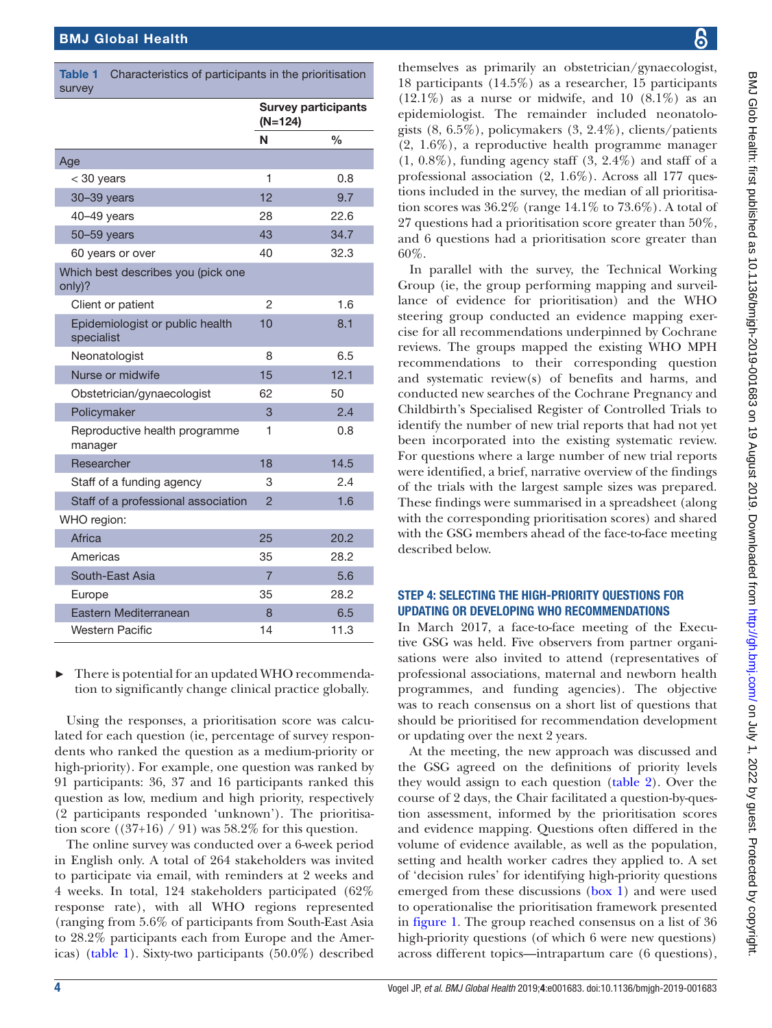<span id="page-3-0"></span>

| <b>Table 1</b><br>Characteristics of participants in the prioritisation<br>survey |                                         |               |
|-----------------------------------------------------------------------------------|-----------------------------------------|---------------|
|                                                                                   | <b>Survey participants</b><br>$(N=124)$ |               |
|                                                                                   | N                                       | $\frac{0}{0}$ |
| Age                                                                               |                                         |               |
| $<$ 30 years                                                                      | 1                                       | 0.8           |
| 30-39 years                                                                       | 12                                      | 9.7           |
| 40-49 years                                                                       | 28                                      | 22.6          |
| 50-59 years                                                                       | 43                                      | 34.7          |
| 60 years or over                                                                  | 40                                      | 32.3          |
| Which best describes you (pick one<br>only)?                                      |                                         |               |
| Client or patient                                                                 | 2                                       | 1.6           |
| Epidemiologist or public health<br>specialist                                     | 10                                      | 8.1           |
| Neonatologist                                                                     | 8                                       | 6.5           |
| Nurse or midwife                                                                  | 15                                      | 12.1          |
| Obstetrician/gynaecologist                                                        | 62                                      | 50            |
| Policymaker                                                                       | 3                                       | 2.4           |
| Reproductive health programme<br>manager                                          | 1                                       | 0.8           |
| Researcher                                                                        | 18                                      | 14.5          |
| Staff of a funding agency                                                         | 3                                       | 2.4           |
| Staff of a professional association                                               | $\overline{2}$                          | 1.6           |
| WHO region:                                                                       |                                         |               |
| Africa                                                                            | 25                                      | 20.2          |
| Americas                                                                          | 35                                      | 28.2          |
| South-East Asia                                                                   | $\overline{7}$                          | 5.6           |
| Europe                                                                            | 35                                      | 28.2          |
| Eastern Mediterranean                                                             | 8                                       | 6.5           |
| Western Pacific                                                                   | 14                                      | 11.3          |

There is potential for an updated WHO recommendation to significantly change clinical practice globally.

Using the responses, a prioritisation score was calculated for each question (ie, percentage of survey respondents who ranked the question as a medium-priority or high-priority). For example, one question was ranked by 91 participants: 36, 37 and 16 participants ranked this question as low, medium and high priority, respectively (2 participants responded 'unknown'). The prioritisation score  $((37+16) / 91)$  was 58.2% for this question.

The online survey was conducted over a 6-week period in English only. A total of 264 stakeholders was invited to participate via email, with reminders at 2 weeks and 4 weeks. In total, 124 stakeholders participated (62% response rate), with all WHO regions represented (ranging from 5.6% of participants from South-East Asia to 28.2% participants each from Europe and the Americas) [\(table](#page-3-0) 1). Sixty-two participants (50.0%) described

themselves as primarily an obstetrician/gynaecologist, 18 participants (14.5%) as a researcher, 15 participants  $(12.1\%)$  as a nurse or midwife, and 10  $(8.1\%)$  as an epidemiologist. The remainder included neonatologists (8, 6.5%), policymakers (3, 2.4%), clients/patients (2, 1.6%), a reproductive health programme manager (1, 0.8%), funding agency staff (3, 2.4%) and staff of a professional association (2, 1.6%). Across all 177 questions included in the survey, the median of all prioritisation scores was  $36.2\%$  (range  $14.1\%$  to  $73.6\%$ ). A total of 27 questions had a prioritisation score greater than 50%, and 6 questions had a prioritisation score greater than 60%.

In parallel with the survey, the Technical Working Group (ie, the group performing mapping and surveillance of evidence for prioritisation) and the WHO steering group conducted an evidence mapping exercise for all recommendations underpinned by Cochrane reviews. The groups mapped the existing WHO MPH recommendations to their corresponding question and systematic review(s) of benefits and harms, and conducted new searches of the Cochrane Pregnancy and Childbirth's Specialised Register of Controlled Trials to identify the number of new trial reports that had not yet been incorporated into the existing systematic review. For questions where a large number of new trial reports were identified, a brief, narrative overview of the findings of the trials with the largest sample sizes was prepared. These findings were summarised in a spreadsheet (along with the corresponding prioritisation scores) and shared with the GSG members ahead of the face-to-face meeting described below.

## Step 4: Selecting the high-priority questions for UPDATING OR DEVELOPING WHO RECOMMENDATIONS

In March 2017, a face-to-face meeting of the Executive GSG was held. Five observers from partner organisations were also invited to attend (representatives of professional associations, maternal and newborn health programmes, and funding agencies). The objective was to reach consensus on a short list of questions that should be prioritised for recommendation development or updating over the next 2 years.

At the meeting, the new approach was discussed and the GSG agreed on the definitions of priority levels they would assign to each question ([table](#page-4-0) 2). Over the course of 2 days, the Chair facilitated a question-by-question assessment, informed by the prioritisation scores and evidence mapping. Questions often differed in the volume of evidence available, as well as the population, setting and health worker cadres they applied to. A set of 'decision rules' for identifying high-priority questions emerged from these discussions [\(box](#page-5-0) 1) and were used to operationalise the prioritisation framework presented in [figure](#page-2-0) 1. The group reached consensus on a list of 36 high-priority questions (of which 6 were new questions) across different topics—intrapartum care (6 questions),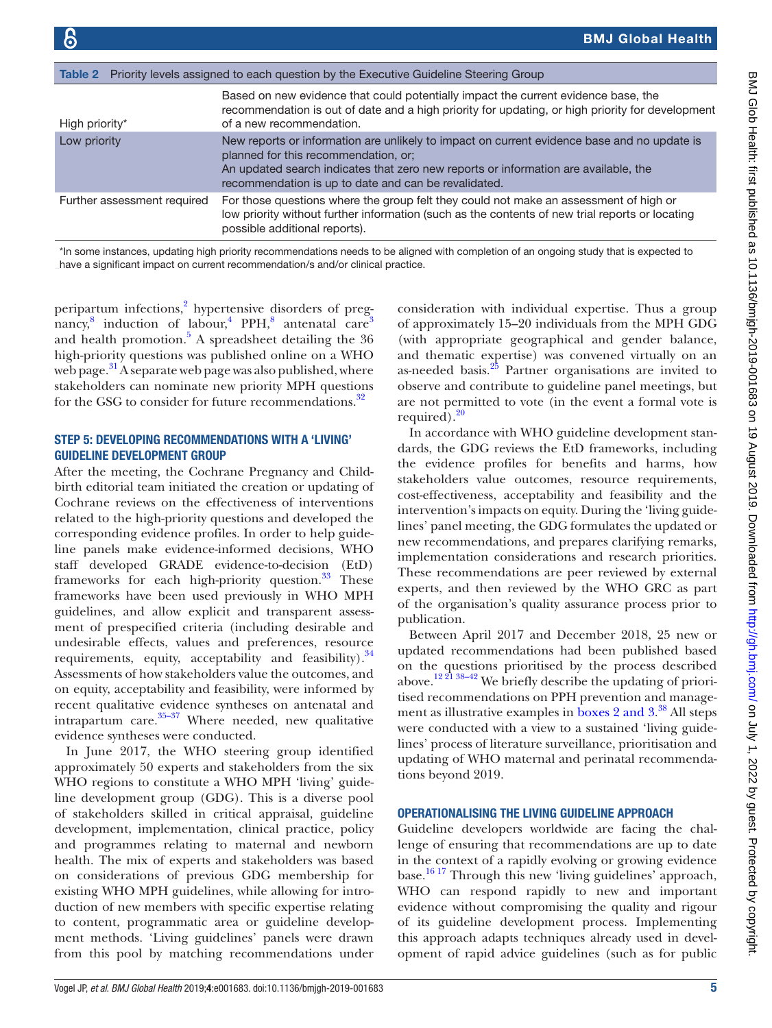<span id="page-4-0"></span>

| <b>Table 2</b> Priority levels assigned to each question by the Executive Guideline Steering Group |                                                                                                                                                                                                                                                                                    |  |
|----------------------------------------------------------------------------------------------------|------------------------------------------------------------------------------------------------------------------------------------------------------------------------------------------------------------------------------------------------------------------------------------|--|
| High priority*                                                                                     | Based on new evidence that could potentially impact the current evidence base, the<br>recommendation is out of date and a high priority for updating, or high priority for development<br>of a new recommendation.                                                                 |  |
| Low priority                                                                                       | New reports or information are unlikely to impact on current evidence base and no update is<br>planned for this recommendation, or;<br>An updated search indicates that zero new reports or information are available, the<br>recommendation is up to date and can be revalidated. |  |
| Further assessment required                                                                        | For those questions where the group felt they could not make an assessment of high or<br>low priority without further information (such as the contents of new trial reports or locating<br>possible additional reports).                                                          |  |

\*In some instances, updating high priority recommendations needs to be aligned with completion of an ongoing study that is expected to have a significant impact on current recommendation/s and/or clinical practice.

peripartum infections,<sup>[2](#page-8-5)</sup> hypertensive disorders of pregnancy, $8$  induction of labour,<sup>[4](#page-8-12)</sup> PPH, $8$  antenatal care<sup>[3](#page-8-13)</sup> and health promotion.<sup>5</sup> A spreadsheet detailing the  $36$ high-priority questions was published online on a WHO web page.<sup>31</sup> A separate web page was also published, where stakeholders can nominate new priority MPH questions for the GSG to consider for future recommendations.<sup>[32](#page-8-15)</sup>

## STEP 5: DEVELOPING RECOMMENDATIONS WITH A 'LIVING' guideline development group

After the meeting, the Cochrane Pregnancy and Childbirth editorial team initiated the creation or updating of Cochrane reviews on the effectiveness of interventions related to the high-priority questions and developed the corresponding evidence profiles. In order to help guideline panels make evidence-informed decisions, WHO staff developed GRADE evidence-to-decision (EtD) frameworks for each high-priority question. $33$  These frameworks have been used previously in WHO MPH guidelines, and allow explicit and transparent assessment of prespecified criteria (including desirable and undesirable effects, values and preferences, resource requirements, equity, acceptability and feasibility).  $34$ Assessments of how stakeholders value the outcomes, and on equity, acceptability and feasibility, were informed by recent qualitative evidence syntheses on antenatal and intrapartum care. $35-37$  Where needed, new qualitative evidence syntheses were conducted.

In June 2017, the WHO steering group identified approximately 50 experts and stakeholders from the six WHO regions to constitute a WHO MPH 'living' guideline development group (GDG). This is a diverse pool of stakeholders skilled in critical appraisal, guideline development, implementation, clinical practice, policy and programmes relating to maternal and newborn health. The mix of experts and stakeholders was based on considerations of previous GDG membership for existing WHO MPH guidelines, while allowing for introduction of new members with specific expertise relating to content, programmatic area or guideline development methods. 'Living guidelines' panels were drawn from this pool by matching recommendations under

consideration with individual expertise. Thus a group of approximately 15–20 individuals from the MPH GDG (with appropriate geographical and gender balance, and thematic expertise) was convened virtually on an as-needed basis. $25$  Partner organisations are invited to observe and contribute to guideline panel meetings, but are not permitted to vote (in the event a formal vote is required). $20$ 

In accordance with WHO guideline development standards, the GDG reviews the EtD frameworks, including the evidence profiles for benefits and harms, how stakeholders value outcomes, resource requirements, cost-effectiveness, acceptability and feasibility and the intervention's impacts on equity. During the 'living guidelines' panel meeting, the GDG formulates the updated or new recommendations, and prepares clarifying remarks, implementation considerations and research priorities. These recommendations are peer reviewed by external experts, and then reviewed by the WHO GRC as part of the organisation's quality assurance process prior to publication.

Between April 2017 and December 2018, 25 new or updated recommendations had been published based on the questions prioritised by the process described above.[12 21 38–42](#page-8-19) We briefly describe the updating of prioritised recommendations on PPH prevention and management as illustrative examples in boxes [2 and 3](#page-6-0). [38](#page-8-20) All steps were conducted with a view to a sustained 'living guidelines' process of literature surveillance, prioritisation and updating of WHO maternal and perinatal recommendations beyond 2019.

#### Operationalising the living guideline approach

Guideline developers worldwide are facing the challenge of ensuring that recommendations are up to date in the context of a rapidly evolving or growing evidence base.[16 17](#page-8-3) Through this new 'living guidelines' approach, WHO can respond rapidly to new and important evidence without compromising the quality and rigour of its guideline development process. Implementing this approach adapts techniques already used in development of rapid advice guidelines (such as for public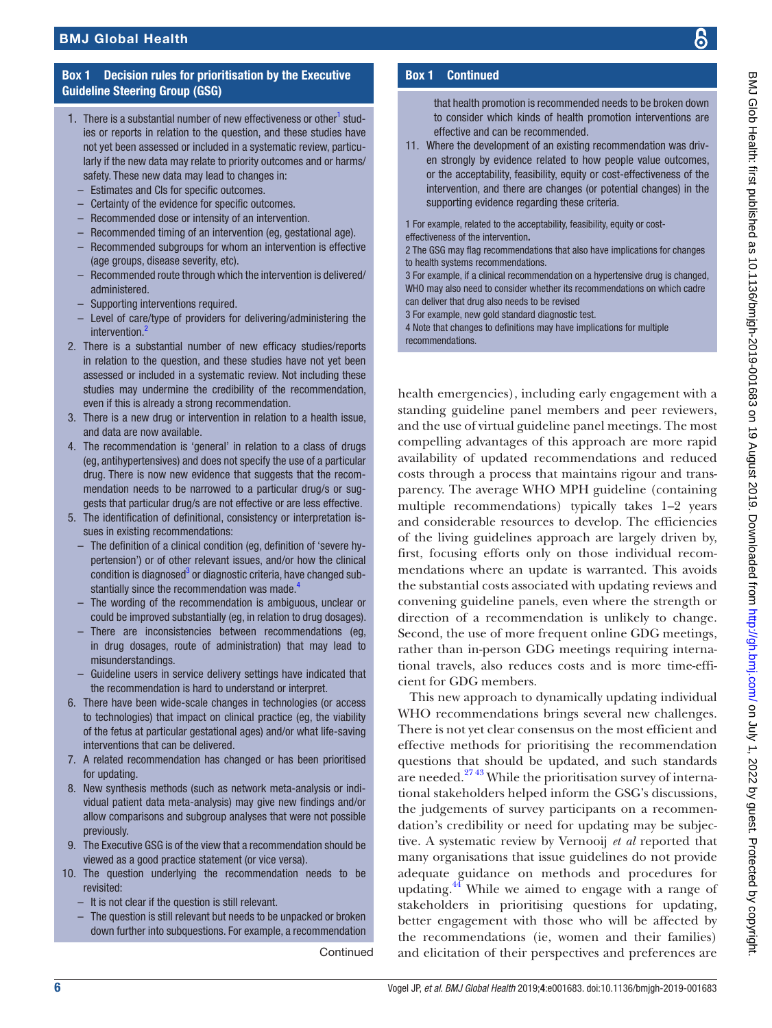## Box 1 Decision rules for prioritisation by the Executive Guideline Steering Group (GSG)

- <span id="page-5-0"></span>1. There is a substantial number of new effectiveness or other<sup>1</sup> studies or reports in relation to the question, and these studies have not yet been assessed or included in a systematic review, particularly if the new data may relate to priority outcomes and or harms/ safety. These new data may lead to changes in:
	- Estimates and CIs for specific outcomes.
	- Certainty of the evidence for specific outcomes.
	- Recommended dose or intensity of an intervention.
	- Recommended timing of an intervention (eg, gestational age).
	- Recommended subgroups for whom an intervention is effective (age groups, disease severity, etc).
	- Recommended route through which the intervention is delivered/ administered.
	- Supporting interventions required.
	- Level of care/type of providers for delivering/administering the intervention<sup>2</sup>
- 2. There is a substantial number of new efficacy studies/reports in relation to the question, and these studies have not yet been assessed or included in a systematic review. Not including these studies may undermine the credibility of the recommendation, even if this is already a strong recommendation.
- 3. There is a new drug or intervention in relation to a health issue, and data are now available.
- 4. The recommendation is 'general' in relation to a class of drugs (eg, antihypertensives) and does not specify the use of a particular drug. There is now new evidence that suggests that the recommendation needs to be narrowed to a particular drug/s or suggests that particular drug/s are not effective or are less effective.
- 5. The identification of definitional, consistency or interpretation issues in existing recommendations:
	- The definition of a clinical condition (eg, definition of 'severe hypertension') or of other relevant issues, and/or how the clinical condition is diagnosed<sup>[3](#page-8-13)</sup> or diagnostic criteria, have changed sub-stantially since the recommendation was made.<sup>[4](#page-8-12)</sup>
	- The wording of the recommendation is ambiguous, unclear or could be improved substantially (eg, in relation to drug dosages).
	- There are inconsistencies between recommendations (eg, in drug dosages, route of administration) that may lead to misunderstandings.
	- Guideline users in service delivery settings have indicated that the recommendation is hard to understand or interpret.
- 6. There have been wide-scale changes in technologies (or access to technologies) that impact on clinical practice (eg, the viability of the fetus at particular gestational ages) and/or what life-saving interventions that can be delivered.
- 7. A related recommendation has changed or has been prioritised for updating.
- 8. New synthesis methods (such as network meta-analysis or individual patient data meta-analysis) may give new findings and/or allow comparisons and subgroup analyses that were not possible previously.
- 9. The Executive GSG is of the view that a recommendation should be viewed as a good practice statement (or vice versa).
- 10. The question underlying the recommendation needs to be revisited:
	- It is not clear if the question is still relevant.
	- The question is still relevant but needs to be unpacked or broken down further into subquestions. For example, a recommendation

**Continued** 

## Box 1 Continued

that health promotion is recommended needs to be broken down to consider which kinds of health promotion interventions are effective and can be recommended.

11. Where the development of an existing recommendation was driven strongly by evidence related to how people value outcomes, or the acceptability, feasibility, equity or cost-effectiveness of the intervention, and there are changes (or potential changes) in the supporting evidence regarding these criteria.

1 For example, related to the acceptability, feasibility, equity or costeffectiveness of the intervention.

2 The GSG may flag recommendations that also have implications for changes to health systems recommendations.

3 For example, if a clinical recommendation on a hypertensive drug is changed, WHO may also need to consider whether its recommendations on which cadre can deliver that drug also needs to be revised

3 For example, new gold standard diagnostic test.

4 Note that changes to definitions may have implications for multiple recommendations.

health emergencies), including early engagement with a standing guideline panel members and peer reviewers, and the use of virtual guideline panel meetings. The most compelling advantages of this approach are more rapid availability of updated recommendations and reduced costs through a process that maintains rigour and transparency. The average WHO MPH guideline (containing multiple recommendations) typically takes 1–2 years and considerable resources to develop. The efficiencies of the living guidelines approach are largely driven by, first, focusing efforts only on those individual recommendations where an update is warranted. This avoids the substantial costs associated with updating reviews and convening guideline panels, even where the strength or direction of a recommendation is unlikely to change. Second, the use of more frequent online GDG meetings, rather than in-person GDG meetings requiring international travels, also reduces costs and is more time-efficient for GDG members.

This new approach to dynamically updating individual WHO recommendations brings several new challenges. There is not yet clear consensus on the most efficient and effective methods for prioritising the recommendation questions that should be updated, and such standards are needed. $2743$  While the prioritisation survey of international stakeholders helped inform the GSG's discussions, the judgements of survey participants on a recommendation's credibility or need for updating may be subjective. A systematic review by Vernooij *et al* reported that many organisations that issue guidelines do not provide adequate guidance on methods and procedures for updating.<sup>44</sup> While we aimed to engage with a range of stakeholders in prioritising questions for updating, better engagement with those who will be affected by the recommendations (ie, women and their families) and elicitation of their perspectives and preferences are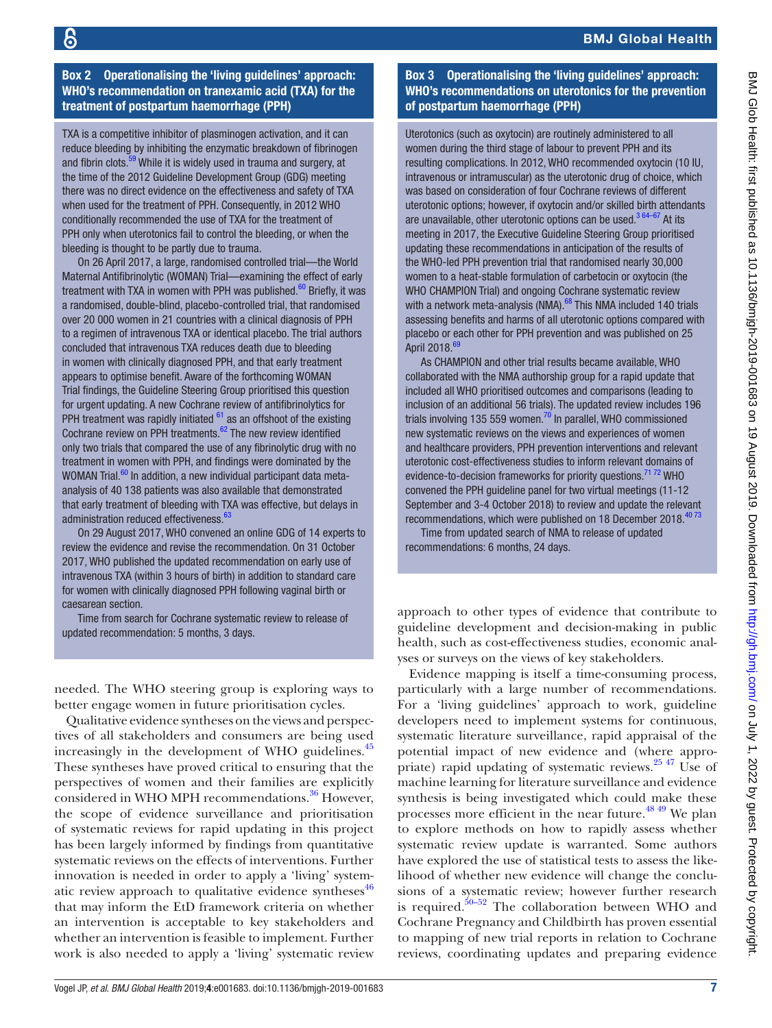Box 2 Operationalising the 'living guidelines' approach: WHO's recommendation on tranexamic acid (TXA) for the treatment of postpartum haemorrhage (PPH)

<span id="page-6-0"></span>TXA is a competitive inhibitor of plasminogen activation, and it can reduce bleeding by inhibiting the enzymatic breakdown of fibrinogen and fibrin clots.<sup>59</sup> While it is widely used in trauma and surgery, at the time of the 2012 Guideline Development Group (GDG) meeting there was no direct evidence on the effectiveness and safety of TXA when used for the treatment of PPH. Consequently, in 2012 WHO conditionally recommended the use of TXA for the treatment of PPH only when uterotonics fail to control the bleeding, or when the bleeding is thought to be partly due to trauma.

On 26 April 2017, a large, randomised controlled trial—the World Maternal Antifibrinolytic (WOMAN) Trial—examining the effect of early treatment with TXA in women with PPH was published. $60$  Briefly, it was a randomised, double-blind, placebo-controlled trial, that randomised over 20 000 women in 21 countries with a clinical diagnosis of PPH to a regimen of intravenous TXA or identical placebo. The trial authors concluded that intravenous TXA reduces death due to bleeding in women with clinically diagnosed PPH, and that early treatment appears to optimise benefit. Aware of the forthcoming WOMAN Trial findings, the Guideline Steering Group prioritised this question for urgent updating. A new Cochrane review of antifibrinolytics for PPH treatment was rapidly initiated  $61$  as an offshoot of the existing Cochrane review on PPH treatments. $62$  The new review identified only two trials that compared the use of any fibrinolytic drug with no treatment in women with PPH, and findings were dominated by the WOMAN Trial.<sup>60</sup> In addition, a new individual participant data metaanalysis of 40 138 patients was also available that demonstrated that early treatment of bleeding with TXA was effective, but delays in administration reduced effectiveness.<sup>[63](#page-9-4)</sup>

On 29 August 2017, WHO convened an online GDG of 14 experts to review the evidence and revise the recommendation. On 31 October 2017, WHO published the updated recommendation on early use of intravenous TXA (within 3 hours of birth) in addition to standard care for women with clinically diagnosed PPH following vaginal birth or caesarean section.

Time from search for Cochrane systematic review to release of updated recommendation: 5 months, 3 days.

needed. The WHO steering group is exploring ways to better engage women in future prioritisation cycles.

Qualitative evidence syntheses on the views and perspectives of all stakeholders and consumers are being used increasingly in the development of WHO guidelines.<sup>45</sup> These syntheses have proved critical to ensuring that the perspectives of women and their families are explicitly considered in WHO MPH recommendations.<sup>36</sup> However, the scope of evidence surveillance and prioritisation of systematic reviews for rapid updating in this project has been largely informed by findings from quantitative systematic reviews on the effects of interventions. Further innovation is needed in order to apply a 'living' systematic review approach to qualitative evidence syntheses $46$ that may inform the EtD framework criteria on whether an intervention is acceptable to key stakeholders and whether an intervention is feasible to implement. Further work is also needed to apply a 'living' systematic review

## Box 3 Operationalising the 'living guidelines' approach: WHO's recommendations on uterotonics for the prevention of postpartum haemorrhage (PPH)

Uterotonics (such as oxytocin) are routinely administered to all women during the third stage of labour to prevent PPH and its resulting complications. In 2012, WHO recommended oxytocin (10 IU, intravenous or intramuscular) as the uterotonic drug of choice, which was based on consideration of four Cochrane reviews of different uterotonic options; however, if oxytocin and/or skilled birth attendants are unavailable, other uterotonic options can be used. $364-67$  At its meeting in 2017, the Executive Guideline Steering Group prioritised updating these recommendations in anticipation of the results of the WHO-led PPH prevention trial that randomised nearly 30,000 women to a heat-stable formulation of carbetocin or oxytocin (the WHO CHAMPION Trial) and ongoing Cochrane systematic review with a network meta-analysis (NMA). $^{68}$  This NMA included 140 trials assessing benefits and harms of all uterotonic options compared with placebo or each other for PPH prevention and was published on 25 April 2018.<sup>[69](#page-9-6)</sup>

As CHAMPION and other trial results became available, WHO collaborated with the NMA authorship group for a rapid update that included all WHO prioritised outcomes and comparisons (leading to inclusion of an additional 56 trials). The updated review includes 196 trials involving 135 559 women.<sup>[70](#page-9-7)</sup> In parallel, WHO commissioned new systematic reviews on the views and experiences of women and healthcare providers, PPH prevention interventions and relevant uterotonic cost-effectiveness studies to inform relevant domains of evidence-to-decision frameworks for priority questions.<sup>71 72</sup> WHO convened the PPH guideline panel for two virtual meetings (11-12 September and 3-4 October 2018) to review and update the relevant recommendations, which were published on 18 December 2018.<sup>4073</sup>

Time from updated search of NMA to release of updated recommendations: 6 months, 24 days.

approach to other types of evidence that contribute to guideline development and decision-making in public health, such as cost-effectiveness studies, economic analyses or surveys on the views of key stakeholders.

Evidence mapping is itself a time-consuming process, particularly with a large number of recommendations. For a 'living guidelines' approach to work, guideline developers need to implement systems for continuous, systematic literature surveillance, rapid appraisal of the potential impact of new evidence and (where appropriate) rapid updating of systematic reviews.<sup>25 47</sup> Use of machine learning for literature surveillance and evidence synthesis is being investigated which could make these processes more efficient in the near future.<sup>48 49</sup> We plan to explore methods on how to rapidly assess whether systematic review update is warranted. Some authors have explored the use of statistical tests to assess the likelihood of whether new evidence will change the conclusions of a systematic review; however further research is required.<sup>50–52</sup> The collaboration between WHO and Cochrane Pregnancy and Childbirth has proven essential to mapping of new trial reports in relation to Cochrane reviews, coordinating updates and preparing evidence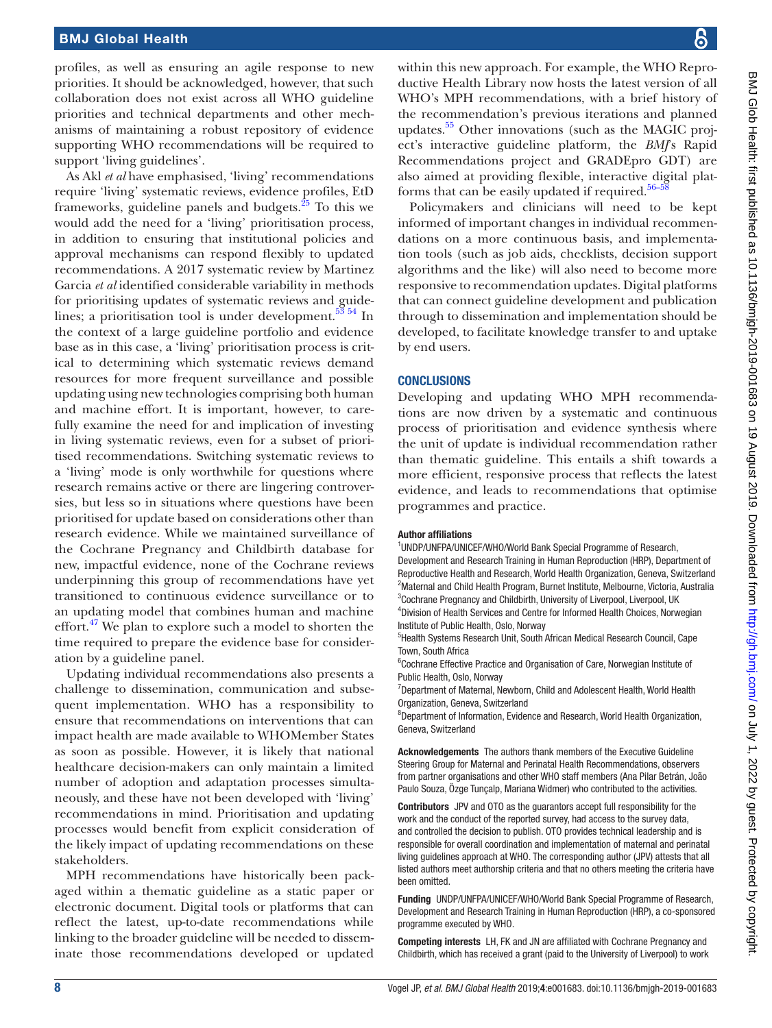#### BMJ Global Health

profiles, as well as ensuring an agile response to new priorities. It should be acknowledged, however, that such collaboration does not exist across all WHO guideline priorities and technical departments and other mechanisms of maintaining a robust repository of evidence supporting WHO recommendations will be required to support 'living guidelines'.

As Akl *et al* have emphasised, 'living' recommendations require 'living' systematic reviews, evidence profiles, EtD frameworks, guideline panels and budgets. $25$  To this we would add the need for a 'living' prioritisation process, in addition to ensuring that institutional policies and approval mechanisms can respond flexibly to updated recommendations. A 2017 systematic review by Martinez Garcia *et al* identified considerable variability in methods for prioritising updates of systematic reviews and guide-lines; a prioritisation tool is under development.<sup>[53 54](#page-9-9)</sup> In the context of a large guideline portfolio and evidence base as in this case, a 'living' prioritisation process is critical to determining which systematic reviews demand resources for more frequent surveillance and possible updating using new technologies comprising both human and machine effort. It is important, however, to carefully examine the need for and implication of investing in living systematic reviews, even for a subset of prioritised recommendations. Switching systematic reviews to a 'living' mode is only worthwhile for questions where research remains active or there are lingering controversies, but less so in situations where questions have been prioritised for update based on considerations other than research evidence. While we maintained surveillance of the Cochrane Pregnancy and Childbirth database for new, impactful evidence, none of the Cochrane reviews underpinning this group of recommendations have yet transitioned to continuous evidence surveillance or to an updating model that combines human and machine effort. $47$  We plan to explore such a model to shorten the time required to prepare the evidence base for consideration by a guideline panel.

Updating individual recommendations also presents a challenge to dissemination, communication and subsequent implementation. WHO has a responsibility to ensure that recommendations on interventions that can impact health are made available to WHOMember States as soon as possible. However, it is likely that national healthcare decision-makers can only maintain a limited number of adoption and adaptation processes simultaneously, and these have not been developed with 'living' recommendations in mind. Prioritisation and updating processes would benefit from explicit consideration of the likely impact of updating recommendations on these stakeholders.

MPH recommendations have historically been packaged within a thematic guideline as a static paper or electronic document. Digital tools or platforms that can reflect the latest, up-to-date recommendations while linking to the broader guideline will be needed to disseminate those recommendations developed or updated BMJ Glob Health: first published as 10.1136/bmigh-2019-001683 on 19 August 2019. Downloaded from http://gh.bmj.com/ on July 1, 2022 by guest. Protected by copyright BMJ Glob Health: first published as 10.1136/bmjgh-2019-001683 on 19 August 2019. Downloaded from <http://gh.bmj.com/> on July 1, 2022 by guest. Protected by copyright

within this new approach. For example, the WHO Reproductive Health Library now hosts the latest version of all WHO's MPH recommendations, with a brief history of the recommendation's previous iterations and planned updates.<sup>55</sup> Other innovations (such as the MAGIC project's interactive guideline platform, the *BMJ*'s Rapid Recommendations project and GRADEpro GDT) are also aimed at providing flexible, interactive digital platforms that can be easily updated if required. $56-5$ 

Policymakers and clinicians will need to be kept informed of important changes in individual recommendations on a more continuous basis, and implementation tools (such as job aids, checklists, decision support algorithms and the like) will also need to become more responsive to recommendation updates. Digital platforms that can connect guideline development and publication through to dissemination and implementation should be developed, to facilitate knowledge transfer to and uptake by end users.

#### **CONCLUSIONS**

Developing and updating WHO MPH recommendations are now driven by a systematic and continuous process of prioritisation and evidence synthesis where the unit of update is individual recommendation rather than thematic guideline. This entails a shift towards a more efficient, responsive process that reflects the latest evidence, and leads to recommendations that optimise programmes and practice.

#### Author affiliations

<sup>1</sup>UNDP/UNFPA/UNICEF/WHO/World Bank Special Programme of Research,

Development and Research Training in Human Reproduction (HRP), Department of Reproductive Health and Research, World Health Organization, Geneva, Switzerland <sup>2</sup>Maternal and Child Health Program, Burnet Institute, Melbourne, Victoria, Australia <sup>3</sup>Cochrane Pregnancy and Childbirth, University of Liverpool, Liverpool, UK 4 Division of Health Services and Centre for Informed Health Choices, Norwegian

Institute of Public Health, Oslo, Norway

<sup>5</sup>Health Systems Research Unit, South African Medical Research Council, Cape Town, South Africa

<sup>6</sup>Cochrane Effective Practice and Organisation of Care, Norwegian Institute of Public Health, Oslo, Norway

<sup>7</sup>Department of Maternal, Newborn, Child and Adolescent Health, World Health Organization, Geneva, Switzerland

<sup>8</sup>Department of Information, Evidence and Research, World Health Organization, Geneva, Switzerland

Acknowledgements The authors thank members of the Executive Guideline Steering Group for Maternal and Perinatal Health Recommendations, observers from partner organisations and other WHO staff members (Ana Pilar Betrán, João Paulo Souza, Özge Tunçalp, Mariana Widmer) who contributed to the activities.

Contributors JPV and OTO as the guarantors accept full responsibility for the work and the conduct of the reported survey, had access to the survey data, and controlled the decision to publish. OTO provides technical leadership and is responsible for overall coordination and implementation of maternal and perinatal living guidelines approach at WHO. The corresponding author (JPV) attests that all listed authors meet authorship criteria and that no others meeting the criteria have been omitted.

Funding UNDP/UNFPA/UNICEF/WHO/World Bank Special Programme of Research, Development and Research Training in Human Reproduction (HRP), a co-sponsored programme executed by WHO.

Competing interests LH, FK and JN are affiliated with Cochrane Pregnancy and Childbirth, which has received a grant (paid to the University of Liverpool) to work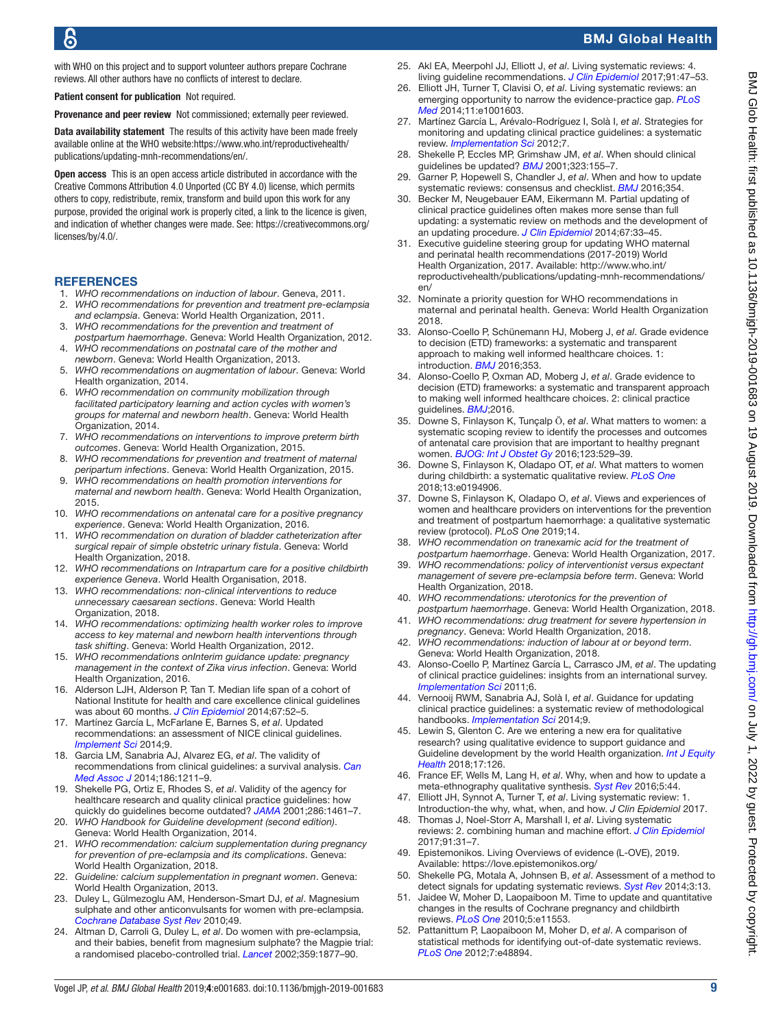with WHO on this project and to support volunteer authors prepare Cochrane reviews. All other authors have no conflicts of interest to declare.

Patient consent for publication Not required.

Provenance and peer review Not commissioned; externally peer reviewed.

Data availability statement The results of this activity have been made freely available online at the WHO website:[https://www.who.int/reproductivehealth/](https://www.who.int/reproductivehealth/publications/updating-mnh-recommendations/en/) [publications/updating-mnh-recommendations/en/](https://www.who.int/reproductivehealth/publications/updating-mnh-recommendations/en/).

Open access This is an open access article distributed in accordance with the Creative Commons Attribution 4.0 Unported (CC BY 4.0) license, which permits others to copy, redistribute, remix, transform and build upon this work for any purpose, provided the original work is properly cited, a link to the licence is given, and indication of whether changes were made. See: [https://creativecommons.org/](https://creativecommons.org/licenses/by/4.0/) [licenses/by/4.0/](https://creativecommons.org/licenses/by/4.0/).

## **REFERENCES**

- <span id="page-8-0"></span>1. *WHO recommendations on induction of labour*. Geneva, 2011.
- <span id="page-8-5"></span>2. *WHO recommendations for prevention and treatment pre-eclampsia and eclampsia*. Geneva: World Health Organization, 2011.
- <span id="page-8-13"></span>3. *WHO recommendations for the prevention and treatment of postpartum haemorrhage*. Geneva: World Health Organization, 2012.
- <span id="page-8-12"></span>4. *WHO recommendations on postnatal care of the mother and newborn*. Geneva: World Health Organization, 2013.
- <span id="page-8-14"></span>5. *WHO recommendations on augmentation of labour*. Geneva: World Health organization, 2014.
- 6. *WHO recommendation on community mobilization through facilitated participatory learning and action cycles with women's groups for maternal and newborn health*. Geneva: World Health Organization, 2014.
- 7. *WHO recommendations on interventions to improve preterm birth outcomes*. Geneva: World Health Organization, 2015.
- <span id="page-8-11"></span>8. *WHO recommendations for prevention and treatment of maternal peripartum infections*. Geneva: World Health Organization, 2015.
- 9. *WHO recommendations on health promotion interventions for maternal and newborn health*. Geneva: World Health Organization, 2015.
- 10. *WHO recommendations on antenatal care for a positive pregnancy experience*. Geneva: World Health Organization, 2016.
- 11. *WHO recommendation on duration of bladder catheterization after surgical repair of simple obstetric urinary fistula*. Geneva: World Health Organization, 2018.
- <span id="page-8-19"></span>12. *WHO recommendations on Intrapartum care for a positive childbirth experience Geneva*. World Health Organisation, 2018.
- 13. *WHO recommendations: non-clinical interventions to reduce unnecessary caesarean sections*. Geneva: World Health Organization, 2018.
- <span id="page-8-1"></span>14. *WHO recommendations: optimizing health worker roles to improve access to key maternal and newborn health interventions through task shifting*. Geneva: World Health Organization, 2012.
- <span id="page-8-2"></span>15. *WHO recommendations onInterim guidance update: pregnancy management in the context of Zika virus infection*. Geneva: World Health Organization, 2016.
- <span id="page-8-3"></span>16. Alderson LJH, Alderson P, Tan T. Median life span of a cohort of National Institute for health and care excellence clinical guidelines was about 60 months. *[J Clin Epidemiol](http://dx.doi.org/10.1016/j.jclinepi.2013.07.012)* 2014;67:52–5.
- 17. Martínez García L, McFarlane E, Barnes S, *et al*. Updated recommendations: an assessment of NICE clinical guidelines. *[Implement Sci](http://dx.doi.org/10.1186/1748-5908-9-72)* 2014;9.
- 18. Garcia LM, Sanabria AJ, Alvarez EG, *et al*. The validity of recommendations from clinical guidelines: a survival analysis. *[Can](http://dx.doi.org/10.1503/cmaj.140547)  [Med Assoc J](http://dx.doi.org/10.1503/cmaj.140547)* 2014;186:1211–9.
- 19. Shekelle PG, Ortiz E, Rhodes S, *et al*. Validity of the agency for healthcare research and quality clinical practice guidelines: how quickly do guidelines become outdated? *[JAMA](http://dx.doi.org/10.1001/jama.286.12.1461)* 2001;286:1461–7.
- <span id="page-8-4"></span>20. *WHO Handbook for Guideline development (second edition)*. Geneva: World Health Organization, 2014.
- 21. *WHO recommendation: calcium supplementation during pregnancy for prevention of pre-eclampsia and its complications*. Geneva: World Health Organization, 2018.
- 22. *Guideline: calcium supplementation in pregnant women*. Geneva: World Health Organization, 2013.
- <span id="page-8-6"></span>23. Duley L, Gülmezoglu AM, Henderson-Smart DJ, *et al*. Magnesium sulphate and other anticonvulsants for women with pre-eclampsia. *[Cochrane Database Syst Rev](http://dx.doi.org/10.1002/14651858.CD000025.pub2)* 2010;49.
- 24. Altman D, Carroli G, Duley L, *et al*. Do women with pre-eclampsia, and their babies, benefit from magnesium sulphate? the Magpie trial: a randomised placebo-controlled trial. *[Lancet](http://dx.doi.org/10.1016/s0140-6736(02)08778-0)* 2002;359:1877–90.
- <span id="page-8-7"></span>25. Akl EA, Meerpohl JJ, Elliott J, *et al*. Living systematic reviews: 4. living guideline recommendations. *[J Clin Epidemiol](http://dx.doi.org/10.1016/j.jclinepi.2017.08.009)* 2017;91:47–53.
- <span id="page-8-8"></span>26. Elliott JH, Turner T, Clavisi O, *et al*. Living systematic reviews: an emerging opportunity to narrow the evidence-practice gap. *[PLoS](http://dx.doi.org/10.1371/journal.pmed.1001603)  [Med](http://dx.doi.org/10.1371/journal.pmed.1001603)* 2014;11:e1001603.
- <span id="page-8-21"></span>27. Martínez García L, Arévalo-Rodríguez I, Solà I, *et al*. Strategies for monitoring and updating clinical practice guidelines: a systematic review. *[Implementation Sci](http://dx.doi.org/10.1186/1748-5908-7-109)* 2012;7.
- 28. Shekelle P, Eccles MP, Grimshaw JM, *et al*. When should clinical guidelines be updated? *[BMJ](http://dx.doi.org/10.1136/bmj.323.7305.155)* 2001;323:155–7.
- <span id="page-8-10"></span>29. Garner P, Hopewell S, Chandler J, *et al*. When and how to update systematic reviews: consensus and checklist. *[BMJ](http://dx.doi.org/10.1136/bmj.i3507)* 2016;354.
- 30. Becker M, Neugebauer EAM, Eikermann M. Partial updating of clinical practice guidelines often makes more sense than full updating: a systematic review on methods and the development of an updating procedure. *[J Clin Epidemiol](http://dx.doi.org/10.1016/j.jclinepi.2013.06.021)* 2014;67:33–45.
- <span id="page-8-9"></span>31. Executive guideline steering group for updating WHO maternal and perinatal health recommendations (2017-2019) World Health Organization, 2017. Available: [http://www.who.int/](http://www.who.int/reproductivehealth/publications/updating-mnh-recommendations/en/) [reproductivehealth/publications/updating-mnh-recommendations/](http://www.who.int/reproductivehealth/publications/updating-mnh-recommendations/en/) [en/](http://www.who.int/reproductivehealth/publications/updating-mnh-recommendations/en/)
- <span id="page-8-15"></span>32. Nominate a priority question for WHO recommendations in maternal and perinatal health. Geneva: World Health Organization 2018.
- <span id="page-8-16"></span>33. Alonso-Coello P, Schünemann HJ, Moberg J, *et al*. Grade evidence to decision (ETD) frameworks: a systematic and transparent approach to making well informed healthcare choices. 1: introduction. *[BMJ](http://dx.doi.org/10.1136/bmj.i2016)* 2016;353.
- <span id="page-8-17"></span>34. Alonso-Coello P, Oxman AD, Moberg J, *et al*. Grade evidence to decision (ETD) frameworks: a systematic and transparent approach to making well informed healthcare choices. 2: clinical practice guidelines. *[BMJ](http://dx.doi.org/10.1136/bmj.i2089)*;2016.
- <span id="page-8-18"></span>35. Downe S, Finlayson K, Tunçalp Ӧ, *et al*. What matters to women: a systematic scoping review to identify the processes and outcomes of antenatal care provision that are important to healthy pregnant women. *[BJOG: Int J Obstet Gy](http://dx.doi.org/10.1111/1471-0528.13819)* 2016;123:529–39.
- <span id="page-8-25"></span>36. Downe S, Finlayson K, Oladapo OT, *et al*. What matters to women during childbirth: a systematic qualitative review. *[PLoS One](http://dx.doi.org/10.1371/journal.pone.0194906)* 2018;13:e0194906.
- 37. Downe S, Finlayson K, Oladapo O, *et al*. Views and experiences of women and healthcare providers on interventions for the prevention and treatment of postpartum haemorrhage: a qualitative systematic review (protocol). *PLoS One* 2019;14.
- <span id="page-8-20"></span>38. *WHO recommendation on tranexamic acid for the treatment of postpartum haemorrhage*. Geneva: World Health Organization, 2017.
- 39. *WHO recommendations: policy of interventionist versus expectant management of severe pre-eclampsia before term*. Geneva: World Health Organization, 2018.
- <span id="page-8-23"></span>40. *WHO recommendations: uterotonics for the prevention of postpartum haemorrhage*. Geneva: World Health Organization, 2018.
- 41. *WHO recommendations: drug treatment for severe hypertension in pregnancy*. Geneva: World Health Organization, 2018.
- 42. *WHO recommendations: induction of labour at or beyond term*. Geneva: World Health Organization, 2018.
- 43. Alonso-Coello P, Martínez García L, Carrasco JM, *et al*. The updating of clinical practice guidelines: insights from an international survey. *[Implementation Sci](http://dx.doi.org/10.1186/1748-5908-6-107)* 2011;6.
- <span id="page-8-22"></span>44. Vernooij RWM, Sanabria AJ, Solà I, *et al*. Guidance for updating clinical practice guidelines: a systematic review of methodological handbooks. *[Implementation Sci](http://dx.doi.org/10.1186/1748-5908-9-3)* 2014;9.
- <span id="page-8-24"></span>45. Lewin S, Glenton C. Are we entering a new era for qualitative research? using qualitative evidence to support guidance and Guideline development by the world Health organization. *[Int J Equity](http://dx.doi.org/10.1186/s12939-018-0841-x)  [Health](http://dx.doi.org/10.1186/s12939-018-0841-x)* 2018;17:126.
- <span id="page-8-26"></span>46. France EF, Wells M, Lang H, *et al*. Why, when and how to update a meta-ethnography qualitative synthesis. *[Syst Rev](http://dx.doi.org/10.1186/s13643-016-0218-4)* 2016;5:44.
- <span id="page-8-29"></span>47. Elliott JH, Synnot A, Turner T, *et al*. Living systematic review: 1. Introduction-the why, what, when, and how. *J Clin Epidemiol* 2017.
- <span id="page-8-27"></span>48. Thomas J, Noel-Storr A, Marshall I, *et al*. Living systematic reviews: 2. combining human and machine effort. *[J Clin Epidemiol](http://dx.doi.org/10.1016/j.jclinepi.2017.08.011)* 2017;91:31–7.
- 49. Epistemonikos. Living Overviews of evidence (L-OVE), 2019. Available: <https://love.epistemonikos.org/>
- <span id="page-8-28"></span>50. Shekelle PG, Motala A, Johnsen B, *et al*. Assessment of a method to detect signals for updating systematic reviews. *[Syst Rev](http://dx.doi.org/10.1186/2046-4053-3-13)* 2014;3:13.
- 51. Jaidee W, Moher D, Laopaiboon M. Time to update and quantitative changes in the results of Cochrane pregnancy and childbirth reviews. *[PLoS One](http://dx.doi.org/10.1371/journal.pone.0011553)* 2010;5:e11553.
- 52. Pattanittum P, Laopaiboon M, Moher D, *et al*. A comparison of statistical methods for identifying out-of-date systematic reviews. *[PLoS One](http://dx.doi.org/10.1371/journal.pone.0048894)* 2012;7:e48894.